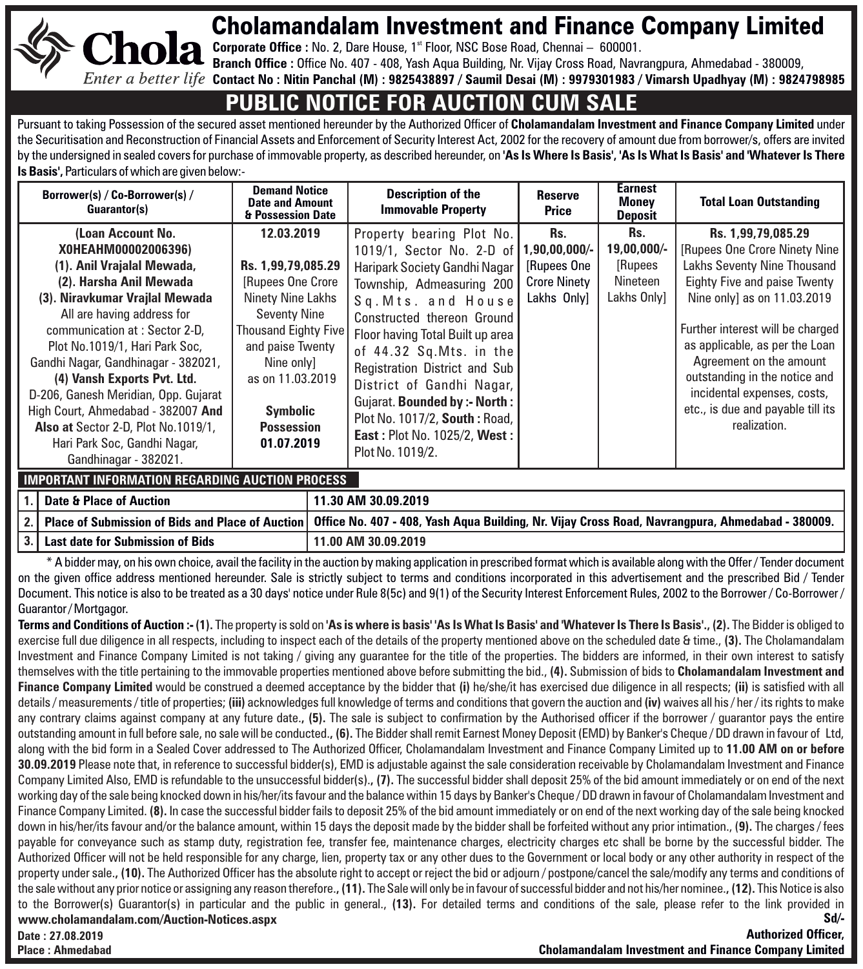# Cholamandalam Investment and Finance Company Limited

**Corporate Office :** No. 2, Dare House, 1<sup>st</sup> Floor, NSC Bose Road, Chennai – 600001.

**Chola Branch Office :** Office No. 407 - 408, Yash Aqua Building, Nr. Vijay Cross Road, Navrangpura, Ahmedabad - 380009,

**Contact No : Nitin Panchal (M) : 9825438897 / Saumil Desai (M) : 9979301983 / Vimarsh Upadhyay (M) : 9824798985** 

## **PUBLIC NOTICE FOR AUCTION CUM SALE**

Pursuant to taking Possession of the secured asset mentioned hereunder by the Authorized Officer of **Cholamandalam Investment and Finance Company Limited** under the Securitisation and Reconstruction of Financial Assets and Enforcement of Security Interest Act, 2002 for the recovery of amount due from borrower/s, offers are invited by the undersigned in sealed covers for purchase of immovable property, as described hereunder, on **'As Is Where Is Basis', 'As Is What Is Basis' and 'Whatever Is There Is Basis',** Particulars of which are given below:-

| Borrower(s) / Co-Borrower(s) /<br>Guarantor(s)                                                                                                                                                                                                                                                                                                                                                                                                                                            | <b>Demand Notice</b><br><b>Date and Amount</b><br>& Possession Date                                                                                                                                                             | <b>Description of the</b><br><b>Immovable Property</b>                                                                                                                                                                                                                                                                                                                                                                              | <b>Reserve</b><br>Price                                                      | <b>Earnest</b><br><b>Money</b><br><b>Deposit</b>          | <b>Total Loan Outstanding</b>                                                                                                                                                                                                                                                                                                                                           |
|-------------------------------------------------------------------------------------------------------------------------------------------------------------------------------------------------------------------------------------------------------------------------------------------------------------------------------------------------------------------------------------------------------------------------------------------------------------------------------------------|---------------------------------------------------------------------------------------------------------------------------------------------------------------------------------------------------------------------------------|-------------------------------------------------------------------------------------------------------------------------------------------------------------------------------------------------------------------------------------------------------------------------------------------------------------------------------------------------------------------------------------------------------------------------------------|------------------------------------------------------------------------------|-----------------------------------------------------------|-------------------------------------------------------------------------------------------------------------------------------------------------------------------------------------------------------------------------------------------------------------------------------------------------------------------------------------------------------------------------|
| (Loan Account No.<br>X0HEAHM00002006396)<br>(1). Anil Vrajalal Mewada,<br>(2). Harsha Anil Mewada<br>(3). Niravkumar Vrajlal Mewada<br>All are having address for<br>communication at : Sector 2-D.<br>Plot No.1019/1, Hari Park Soc.<br>Gandhi Nagar, Gandhinagar - 382021,<br>(4) Vansh Exports Pvt. Ltd.<br>D-206, Ganesh Meridian, Opp. Gujarat<br>High Court, Ahmedabad - 382007 And<br>Also at Sector 2-D, Plot No.1019/1,<br>Hari Park Soc, Gandhi Nagar,<br>Gandhinagar - 382021. | 12.03.2019<br>Rs. 1.99.79.085.29<br>[Rupees One Crore]<br>Ninety Nine Lakhs<br><b>Seventy Nine</b><br>Thousand Eighty Five<br>and paise Twenty<br>Nine only]<br>as on 11.03.2019<br>Symbolic<br><b>Possession</b><br>01.07.2019 | Property bearing Plot No.<br>1019/1, Sector No. 2-D of<br>Haripark Society Gandhi Nagar<br>Township, Admeasuring 200<br>Sq. Mts. and House<br>Constructed thereon Ground<br>Floor having Total Built up area<br>of 44.32 Sq.Mts. in the<br>Registration District and Sub<br>District of Gandhi Nagar,<br>Gujarat. Bounded by :- North :<br>Plot No. 1017/2. South: Road.<br><b>East: Plot No. 1025/2. West:</b><br>Plot No. 1019/2. | Rs.<br>$1.90.00.000/$ -<br>[Rupees One<br><b>Crore Ninety</b><br>Lakhs Only] | Rs.<br>19,00,000/-<br>[Rupees]<br>Nineteen<br>Lakhs Only] | Rs. 1,99,79,085.29<br>[Rupees One Crore Ninety Nine<br>Lakhs Seventy Nine Thousand<br>Eighty Five and paise Twenty<br>Nine onlyl as on 11.03.2019<br>Further interest will be charged<br>as applicable, as per the Loan<br>Agreement on the amount<br>outstanding in the notice and<br>incidental expenses, costs,<br>etc., is due and payable till its<br>realization. |

### **IMPORTANT INFORMATION REGARDING AUCTION PROCESS**

**Place : Ahmedabad**

| 1.   Date & Place of Auction          | 11.30 AM 30.09.2019                                                                                                                                      |
|---------------------------------------|----------------------------------------------------------------------------------------------------------------------------------------------------------|
|                                       | 2.   Place of Submission of Bids and Place of Auction   Office No. 407 - 408, Yash Aqua Building, Nr. Vijay Cross Road, Navrangpura, Ahmedabad - 380009. |
| 3.   Last date for Submission of Bids | 11.00 AM 30.09.2019                                                                                                                                      |

\* A bidder may, on his own choice, avail the facility in the auction by making application in prescribed format which is available along with the Offer / Tender document on the given office address mentioned hereunder. Sale is strictly subject to terms and conditions incorporated in this advertisement and the prescribed Bid / Tender Document. This notice is also to be treated as a 30 days' notice under Rule 8(5c) and 9(1) of the Security Interest Enforcement Rules, 2002 to the Borrower / Co-Borrower / Guarantor / Mortgagor.

**Terms and Conditions of Auction :- (1).** The property is sold on **'As is where is basis' 'As Is What Is Basis' and 'Whatever Is There Is Basis'., (2).** The Bidder is obliged to exercise full due diligence in all respects, including to inspect each of the details of the property mentioned above on the scheduled date & time., **(3).** The Cholamandalam Investment and Finance Company Limited is not taking / giving any guarantee for the title of the properties. The bidders are informed, in their own interest to satisfy themselves with the title pertaining to the immovable properties mentioned above before submitting the bid., **(4).** Submission of bids to **Cholamandalam Investment and Finance Company Limited** would be construed a deemed acceptance by the bidder that **(i)** he/she/it has exercised due diligence in all respects; **(ii)** is satisfied with all details / measurements / title of properties; **(iii)** acknowledges full knowledge of terms and conditions that govern the auction and **(iv)** waives all his / her / its rights to make any contrary claims against company at any future date., (5). The sale is subject to confirmation by the Authorised officer if the borrower / guarantor pays the entire outstanding amount in full before sale, no sale will be conducted.**, (6).** The Bidder shall remit Earnest Money Deposit (EMD) by Banker's Cheque / DD drawn in favour of Ltd, along with the bid form in a Sealed Cover addressed to The Authorized Officer, Cholamandalam Investment and Finance Company Limited up to **11.00 AM on or before 30.09.2019** Please note that, in reference to successful bidder(s), EMD is adjustable against the sale consideration receivable by Cholamandalam Investment and Finance Company Limited Also, EMD is refundable to the unsuccessful bidder(s).**, (7).** The successful bidder shall deposit 25% of the bid amount immediately or on end of the next working day of the sale being knocked down in his/her/its favour and the balance within 15 days by Banker's Cheque / DD drawn in favour of Cholamandalam Investment and Finance Company Limited. **(8).** In case the successful bidder fails to deposit 25% of the bid amount immediately or on end of the next working day of the sale being knocked down in his/her/its favour and/or the balance amount, within 15 days the deposit made by the bidder shall be forfeited without any prior intimation., (**9).** The charges / fees payable for conveyance such as stamp duty, registration fee, transfer fee, maintenance charges, electricity charges etc shall be borne by the successful bidder. The Authorized Officer will not be held responsible for any charge, lien, property tax or any other dues to the Government or local body or any other authority in respect of the property under sale.**, (10).** The Authorized Officer has the absolute right to accept or reject the bid or adjourn / postpone/cancel the sale/modify any terms and conditions of the sale without any prior notice or assigning any reason therefore.**, (11).** The Sale will only be in favour of successful bidder and not his/her nominee.**, (12).** This Notice is also to the Borrower(s) Guarantor(s) in particular and the public in general., **(13).** For detailed terms and conditions of the sale, please refer to the link provided in **www.cholamandalam.com/Auction-Notices.aspx Date : 27.08.2019 Sd/- Authorized Officer,** 

**Cholamandalam Investment and Finance Company Limited**